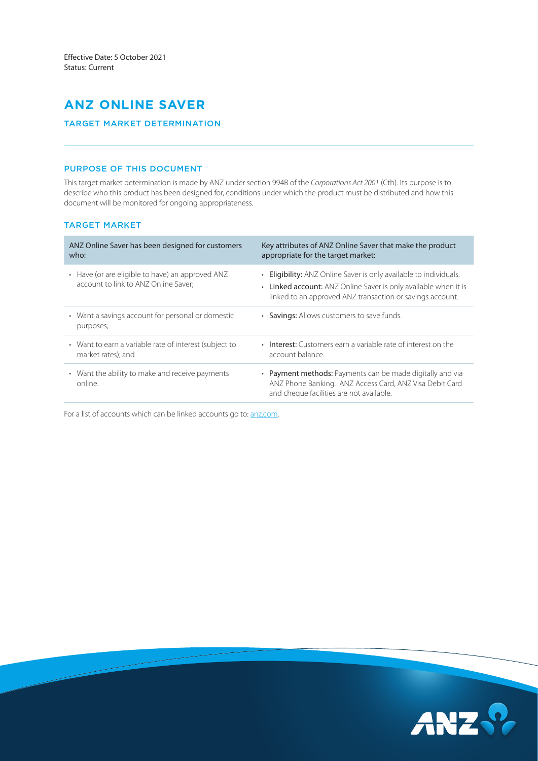# **ANZ ONLINE SAVER**

# TARGET MARKET DETERMINATION

# PURPOSE OF THIS DOCUMENT

This target market determination is made by ANZ under section 994B of the *Corporations Act 2001* (Cth). Its purpose is to describe who this product has been designed for, conditions under which the product must be distributed and how this document will be monitored for ongoing appropriateness.

# TARGET MARKET

| ANZ Online Saver has been designed for customers<br>who:                                 | Key attributes of ANZ Online Saver that make the product<br>appropriate for the target market:                                                                                                    |
|------------------------------------------------------------------------------------------|---------------------------------------------------------------------------------------------------------------------------------------------------------------------------------------------------|
| • Have (or are eligible to have) an approved ANZ<br>account to link to ANZ Online Saver; | • Eligibility: ANZ Online Saver is only available to individuals.<br>• Linked account: ANZ Online Saver is only available when it is<br>linked to an approved ANZ transaction or savings account. |
| • Want a savings account for personal or domestic<br>purposes;                           | • Savings: Allows customers to save funds.                                                                                                                                                        |
| • Want to earn a variable rate of interest (subject to<br>market rates); and             | <b>Interest:</b> Customers earn a variable rate of interest on the<br>$\bullet$<br>account balance.                                                                                               |
| • Want the ability to make and receive payments<br>online.                               | • Payment methods: Payments can be made digitally and via<br>ANZ Phone Banking. ANZ Access Card, ANZ Visa Debit Card<br>and cheque facilities are not available.                                  |

For a list of accounts which can be linked accounts go to: [anz.com](https://www.anz.com.au/personal/bank-accounts/savings-accounts/online-saver/).

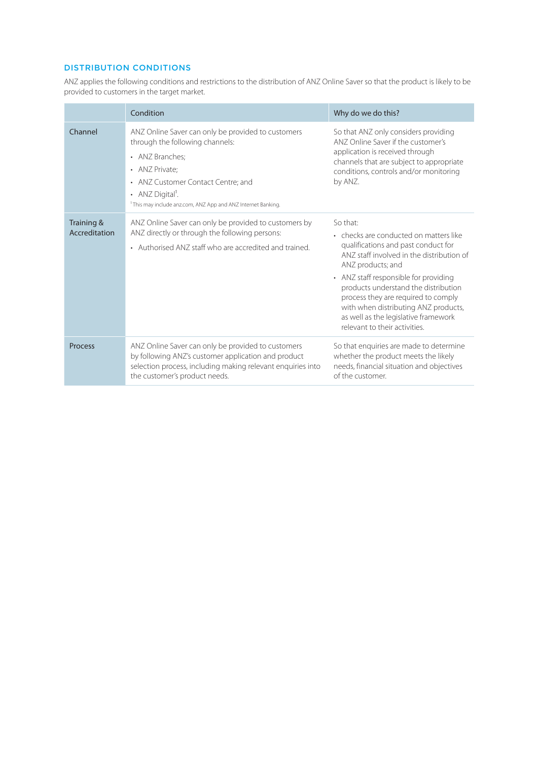# DISTRIBUTION CONDITIONS

ANZ applies the following conditions and restrictions to the distribution of ANZ Online Saver so that the product is likely to be provided to customers in the target market.

|                             | Condition                                                                                                                                                                                                                                                                    | Why do we do this?                                                                                                                                                                                                                                                                                                                                                                                   |
|-----------------------------|------------------------------------------------------------------------------------------------------------------------------------------------------------------------------------------------------------------------------------------------------------------------------|------------------------------------------------------------------------------------------------------------------------------------------------------------------------------------------------------------------------------------------------------------------------------------------------------------------------------------------------------------------------------------------------------|
| Channel                     | ANZ Online Saver can only be provided to customers<br>through the following channels:<br>• ANZ Branches:<br>• ANZ Private:<br>• ANZ Customer Contact Centre; and<br>• ANZ Digital <sup>1</sup> .<br><sup>1</sup> This may include anz.com, ANZ App and ANZ Internet Banking. | So that ANZ only considers providing<br>ANZ Online Saver if the customer's<br>application is received through<br>channels that are subject to appropriate<br>conditions, controls and/or monitoring<br>by ANZ.                                                                                                                                                                                       |
| Training &<br>Accreditation | ANZ Online Saver can only be provided to customers by<br>ANZ directly or through the following persons:<br>• Authorised ANZ staff who are accredited and trained.                                                                                                            | So that:<br>• checks are conducted on matters like<br>qualifications and past conduct for<br>ANZ staff involved in the distribution of<br>ANZ products; and<br>• ANZ staff responsible for providing<br>products understand the distribution<br>process they are required to comply<br>with when distributing ANZ products,<br>as well as the legislative framework<br>relevant to their activities. |
| Process                     | ANZ Online Saver can only be provided to customers<br>by following ANZ's customer application and product<br>selection process, including making relevant enquiries into<br>the customer's product needs.                                                                    | So that enquiries are made to determine<br>whether the product meets the likely<br>needs, financial situation and objectives<br>of the customer.                                                                                                                                                                                                                                                     |